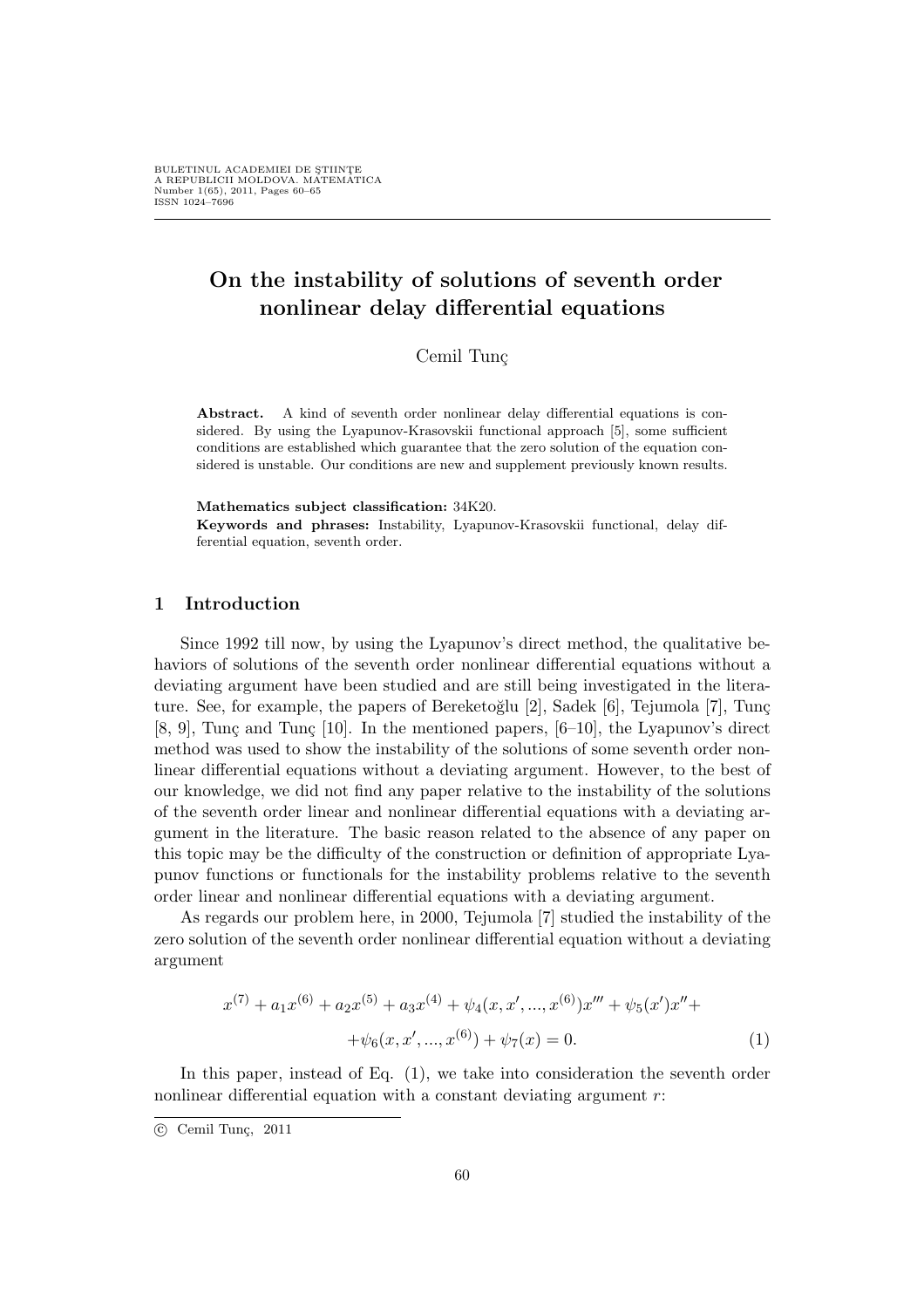# On the instability of solutions of seventh order nonlinear delay differential equations

Cemil Tunc

Abstract. A kind of seventh order nonlinear delay differential equations is considered. By using the Lyapunov-Krasovskii functional approach [5], some sufficient conditions are established which guarantee that the zero solution of the equation considered is unstable. Our conditions are new and supplement previously known results.

#### Mathematics subject classification: 34K20.

Keywords and phrases: Instability, Lyapunov-Krasovskii functional, delay differential equation, seventh order.

## 1 Introduction

Since 1992 till now, by using the Lyapunov's direct method, the qualitative behaviors of solutions of the seventh order nonlinear differential equations without a deviating argument have been studied and are still being investigated in the literature. See, for example, the papers of Bereketoğlu [2], Sadek [6], Tejumola [7], Tunç [8, 9], Tunç and Tunç [10]. In the mentioned papers,  $[6-10]$ , the Lyapunov's direct method was used to show the instability of the solutions of some seventh order nonlinear differential equations without a deviating argument. However, to the best of our knowledge, we did not find any paper relative to the instability of the solutions of the seventh order linear and nonlinear differential equations with a deviating argument in the literature. The basic reason related to the absence of any paper on this topic may be the difficulty of the construction or definition of appropriate Lyapunov functions or functionals for the instability problems relative to the seventh order linear and nonlinear differential equations with a deviating argument.

As regards our problem here, in 2000, Tejumola [7] studied the instability of the zero solution of the seventh order nonlinear differential equation without a deviating argument

$$
x^{(7)} + a_1 x^{(6)} + a_2 x^{(5)} + a_3 x^{(4)} + \psi_4(x, x', ..., x^{(6)}) x''' + \psi_5(x') x'' +
$$

$$
+ \psi_6(x, x', ..., x^{(6)}) + \psi_7(x) = 0.
$$
 (1)

In this paper, instead of Eq. (1), we take into consideration the seventh order nonlinear differential equation with a constant deviating argument  $r$ :

<sup>°</sup>c Cemil Tun¸c, 2011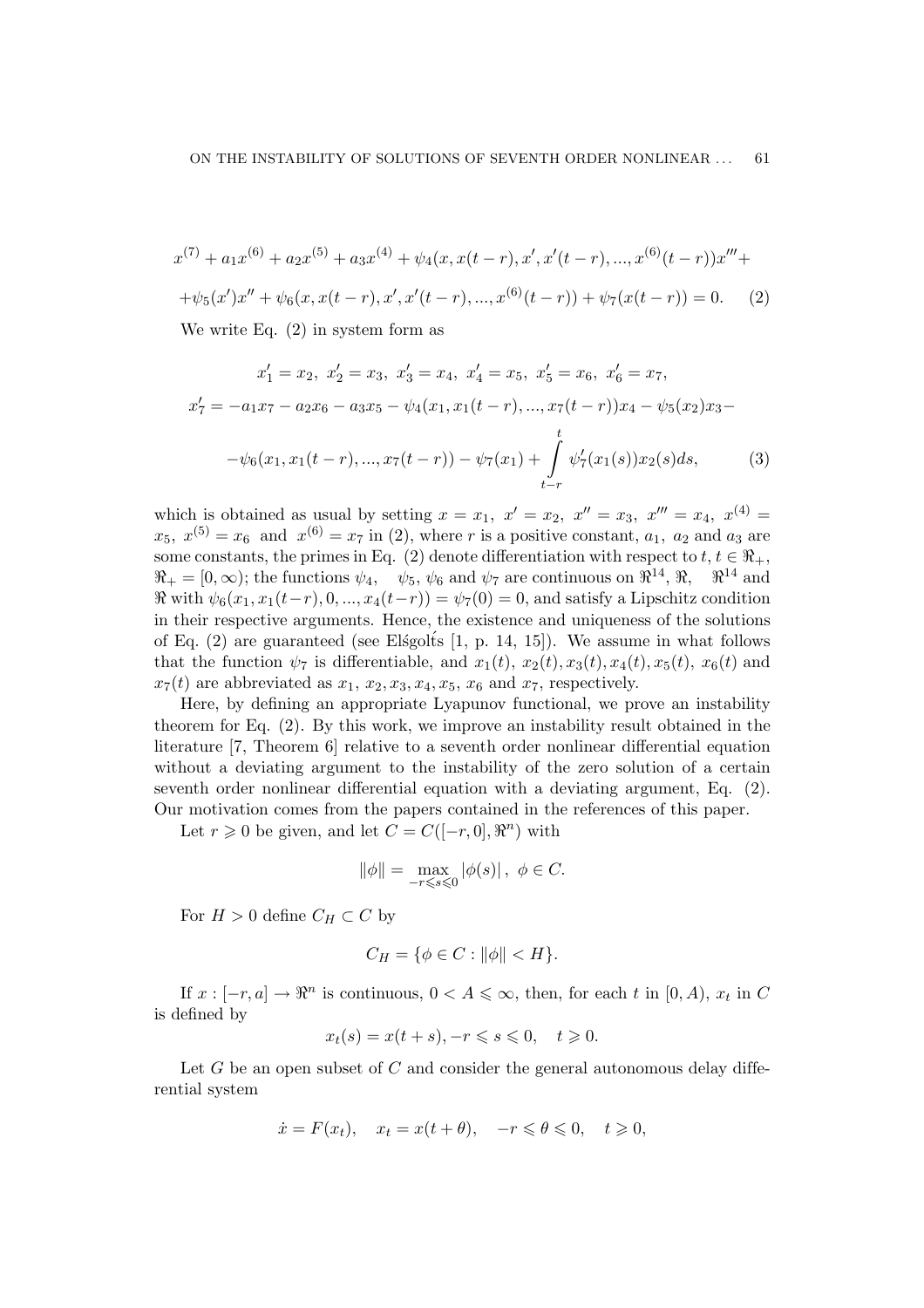$$
x^{(7)} + a_1 x^{(6)} + a_2 x^{(5)} + a_3 x^{(4)} + \psi_4(x, x(t-r), x', x'(t-r), ..., x^{(6)}(t-r))x''' +
$$
  
+  $\psi_5(x')x'' + \psi_6(x, x(t-r), x', x'(t-r), ..., x^{(6)}(t-r)) + \psi_7(x(t-r)) = 0.$  (2)  
We write Eq. (2) in system form as

We write Eq. (2) in system form as

$$
x'_1 = x_2, \ x'_2 = x_3, \ x'_3 = x_4, \ x'_4 = x_5, \ x'_5 = x_6, \ x'_6 = x_7,
$$
  

$$
x'_7 = -a_1x_7 - a_2x_6 - a_3x_5 - \psi_4(x_1, x_1(t - r), ..., x_7(t - r))x_4 - \psi_5(x_2)x_3 -
$$
  

$$
-\psi_6(x_1, x_1(t - r), ..., x_7(t - r)) - \psi_7(x_1) + \int_{t-r}^t \psi_7'(x_1(s))x_2(s)ds,
$$
 (3)

which is obtained as usual by setting  $x = x_1$ ,  $x' = x_2$ ,  $x'' = x_3$ ,  $x''' = x_4$ ,  $x^{(4)} = x_4$  $x_5, x^{(5)} = x_6$  and  $x^{(6)} = x_7$  in (2), where r is a positive constant,  $a_1, a_2$  and  $a_3$  are some constants, the primes in Eq. (2) denote differentiation with respect to  $t, t \in \Re_+$ ,  $\mathcal{R}_+ = [0, \infty)$ ; the functions  $\psi_4, \quad \psi_5, \psi_6$  and  $\psi_7$  are continuous on  $\mathcal{R}^{14}, \mathcal{R}, \quad \mathcal{R}^{14}$  and  $\Re$  with  $\psi_6(x_1, x_1(t-r), 0, ..., x_4(t-r)) = \psi_7(0) = 0$ , and satisfy a Lipschitz condition in their respective arguments. Hence, the existence and uniqueness of the solutions of Eq.  $(2)$  are guaranteed (see Else golds [1, p. 14, 15]). We assume in what follows that the function  $\psi_7$  is differentiable, and  $x_1(t)$ ,  $x_2(t)$ ,  $x_3(t)$ ,  $x_4(t)$ ,  $x_5(t)$ ,  $x_6(t)$  and  $x_7(t)$  are abbreviated as  $x_1, x_2, x_3, x_4, x_5, x_6$  and  $x_7$ , respectively.

Here, by defining an appropriate Lyapunov functional, we prove an instability theorem for Eq. (2). By this work, we improve an instability result obtained in the literature [7, Theorem 6] relative to a seventh order nonlinear differential equation without a deviating argument to the instability of the zero solution of a certain seventh order nonlinear differential equation with a deviating argument, Eq. (2). Our motivation comes from the papers contained in the references of this paper.

Let  $r \geq 0$  be given, and let  $C = C([-r, 0], \mathbb{R}^n)$  with

$$
\|\phi\| = \max_{-r \le s \le 0} |\phi(s)|, \ \phi \in C.
$$

For  $H > 0$  define  $C_H \subset C$  by

$$
C_H = \{ \phi \in C : ||\phi|| < H \}.
$$

If  $x: [-r, a] \to \mathbb{R}^n$  is continuous,  $0 < A \leq \infty$ , then, for each t in  $[0, A)$ ,  $x_t$  in C is defined by

$$
x_t(s) = x(t+s), -r \leq s \leq 0, \quad t \geq 0.
$$

Let G be an open subset of  $C$  and consider the general autonomous delay differential system

$$
\dot{x} = F(x_t), \quad x_t = x(t + \theta), \quad -r \leq \theta \leq 0, \quad t \geq 0,
$$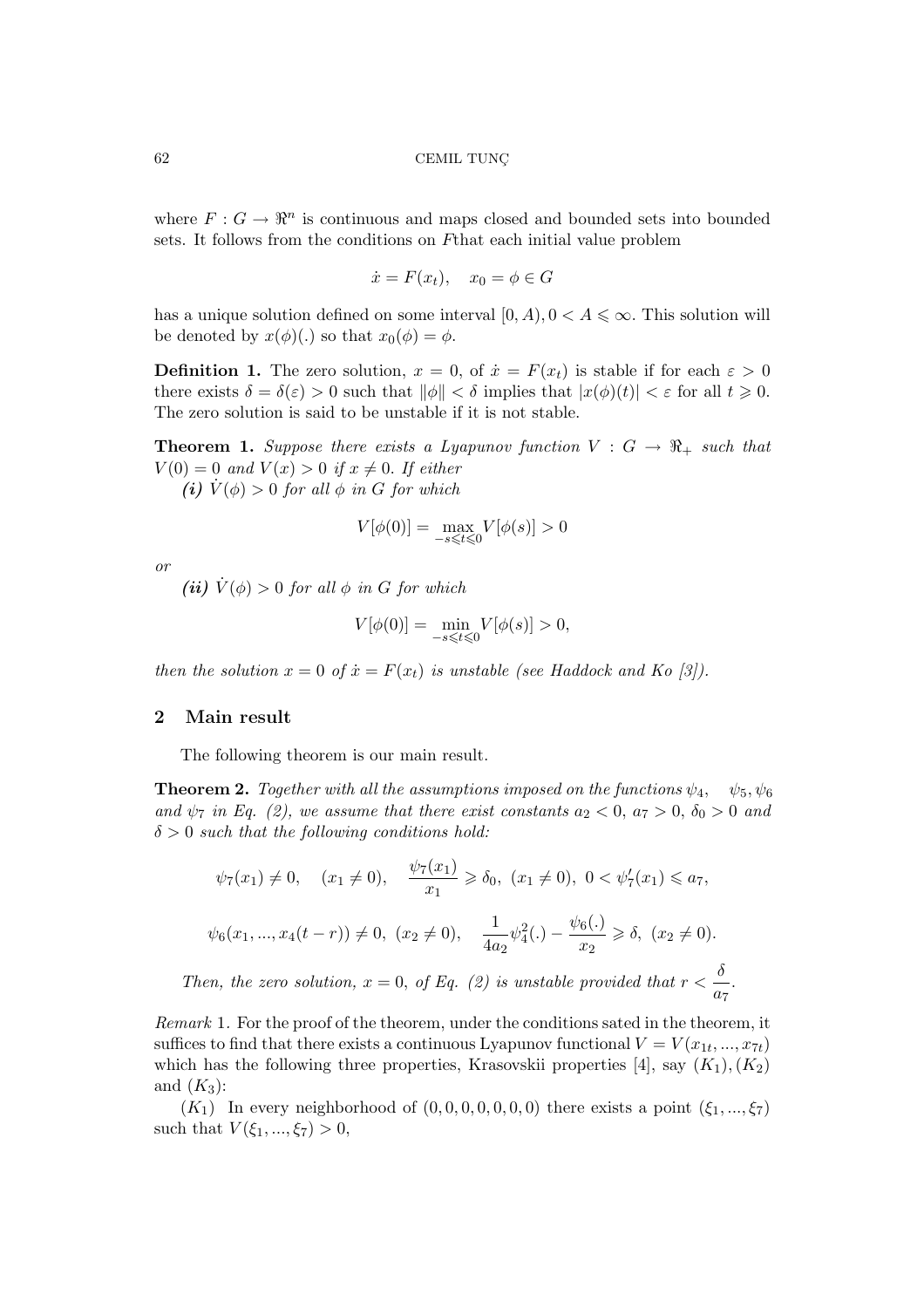where  $F: G \to \mathbb{R}^n$  is continuous and maps closed and bounded sets into bounded sets. It follows from the conditions on Fthat each initial value problem

$$
\dot{x} = F(x_t), \quad x_0 = \phi \in G
$$

has a unique solution defined on some interval  $[0, A), 0 < A \leq \infty$ . This solution will be denoted by  $x(\phi)(.)$  so that  $x_0(\phi) = \phi$ .

**Definition 1.** The zero solution,  $x = 0$ , of  $\dot{x} = F(x_t)$  is stable if for each  $\varepsilon > 0$ there exists  $\delta = \delta(\varepsilon) > 0$  such that  $\|\phi\| < \delta$  implies that  $|x(\phi)(t)| < \varepsilon$  for all  $t \geq 0$ . The zero solution is said to be unstable if it is not stable.

**Theorem 1.** Suppose there exists a Lyapunov function  $V : G \rightarrow \mathbb{R}_+$  such that  $V(0) = 0$  and  $V(x) > 0$  if  $x \neq 0$ . If either

(i)  $\dot{V}(\phi) > 0$  for all  $\phi$  in G for which

$$
V[\phi(0)]=\max_{-s\leqslant t\leqslant 0}V[\phi(s)]>0
$$

or

(ii)  $\dot{V}(\phi) > 0$  for all  $\phi$  in G for which

$$
V[\phi(0)] = \min_{-s \leq t \leq 0} V[\phi(s)] > 0,
$$

then the solution  $x = 0$  of  $\dot{x} = F(x_t)$  is unstable (see Haddock and Ko [3]).

#### 2 Main result

The following theorem is our main result.

**Theorem 2.** Together with all the assumptions imposed on the functions  $\psi_4$ ,  $\psi_5$ ,  $\psi_6$ and  $\psi_7$  in Eq. (2), we assume that there exist constants  $a_2 < 0$ ,  $a_7 > 0$ ,  $\delta_0 > 0$  and  $\delta > 0$  such that the following conditions hold:

$$
\psi_7(x_1) \neq 0, \quad (x_1 \neq 0), \quad \frac{\psi_7(x_1)}{x_1} \geq \delta_0, \ (x_1 \neq 0), \ 0 < \psi_7'(x_1) \leq a_7,
$$
\n
$$
\psi_6(x_1, \ldots, x_4(t-r)) \neq 0, \ (x_2 \neq 0), \quad \frac{1}{4a_2} \psi_4^2(.) - \frac{\psi_6(.)}{x_2} \geq \delta, \ (x_2 \neq 0).
$$
\nThen, the zero solution,  $x = 0$ , of Eq. (2) is unstable provided that  $r < \frac{\delta}{a_7}$ .

Remark 1. For the proof of the theorem, under the conditions sated in the theorem, it suffices to find that there exists a continuous Lyapunov functional  $V = V(x_{1t},...,x_{7t})$ which has the following three properties, Krasovskii properties [4], say  $(K_1), (K_2)$ and  $(K_3)$ :

 $(K_1)$  In every neighborhood of  $(0, 0, 0, 0, 0, 0, 0)$  there exists a point  $(\xi_1, ..., \xi_7)$ such that  $V(\xi_1, ..., \xi_7) > 0$ ,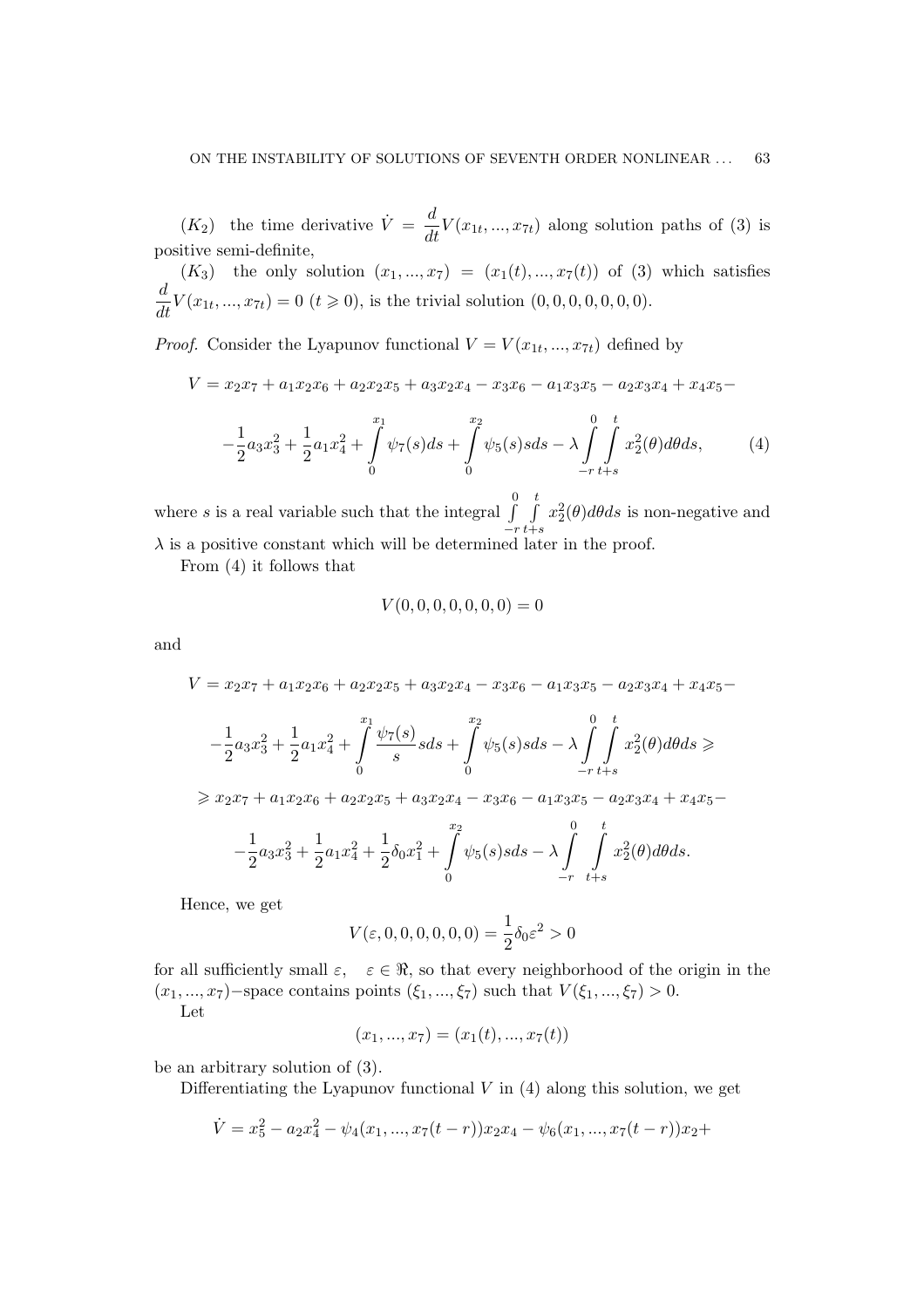$(K_2)$  the time derivative  $\dot{V} = \frac{d}{dt} V(x_{1t}, ..., x_{7t})$  along solution paths of (3) is positive semi-definite,

 $(K_3)$  the only solution  $(x_1, ..., x_7) = (x_1(t), ..., x_7(t))$  of (3) which satisfies  $\frac{d}{dt}V(x_{1t},...,x_{7t}) = 0$   $(t \ge 0)$ , is the trivial solution  $(0,0,0,0,0,0,0)$ .

*Proof.* Consider the Lyapunov functional  $V = V(x_{1t},...,x_{7t})$  defined by

$$
V = x_2x_7 + a_1x_2x_6 + a_2x_2x_5 + a_3x_2x_4 - x_3x_6 - a_1x_3x_5 - a_2x_3x_4 + x_4x_5 -
$$
  

$$
-\frac{1}{2}a_3x_3^2 + \frac{1}{2}a_1x_4^2 + \int_0^{x_1} \psi_7(s)ds + \int_0^{x_2} \psi_5(s)sds - \lambda \int_{-r}^0 \int_{-r}^t x_2^2(\theta)d\theta ds, \tag{4}
$$

where s is a real variable such that the integral  $\int_0^{\infty}$  $-r$  $\frac{t}{c}$  $_{t+s}$  $x_2^2(\theta)d\theta ds$  is non-negative and  $\lambda$  is a positive constant which will be determined later in the proof.

From (4) it follows that

$$
V(0,0,0,0,0,0,0) = 0
$$

and

$$
V = x_2x_7 + a_1x_2x_6 + a_2x_2x_5 + a_3x_2x_4 - x_3x_6 - a_1x_3x_5 - a_2x_3x_4 + x_4x_5 -
$$
  

$$
- \frac{1}{2}a_3x_3^2 + \frac{1}{2}a_1x_4^2 + \int_0^{x_1} \frac{\psi_7(s)}{s} s ds + \int_0^{x_2} \psi_5(s) s ds - \lambda \int_{-r}^{0} \int_{t+s}^{t} x_2^2(\theta) d\theta ds \ge
$$
  

$$
\geq x_2x_7 + a_1x_2x_6 + a_2x_2x_5 + a_3x_2x_4 - x_3x_6 - a_1x_3x_5 - a_2x_3x_4 + x_4x_5 -
$$
  

$$
- \frac{1}{2}a_3x_3^2 + \frac{1}{2}a_1x_4^2 + \frac{1}{2}\delta_0x_1^2 + \int_0^{x_2} \psi_5(s) s ds - \lambda \int_{-r}^{0} \int_{t+s}^{t} x_2^2(\theta) d\theta ds.
$$

Hence, we get

$$
V(\varepsilon, 0, 0, 0, 0, 0, 0) = \frac{1}{2}\delta_0 \varepsilon^2 > 0
$$

for all sufficiently small  $\varepsilon$ ,  $\varepsilon \in \Re$ , so that every neighborhood of the origin in the  $(x_1, ..., x_7)$ −space contains points  $(\xi_1, ..., \xi_7)$  such that  $V(\xi_1, ..., \xi_7) > 0$ .

Let

$$
(x_1, ..., x_7) = (x_1(t), ..., x_7(t))
$$

be an arbitrary solution of (3).

Differentiating the Lyapunov functional  $V$  in  $(4)$  along this solution, we get

$$
\dot{V} = x_5^2 - a_2 x_4^2 - \psi_4(x_1, ..., x_7(t - r)) x_2 x_4 - \psi_6(x_1, ..., x_7(t - r)) x_2 +
$$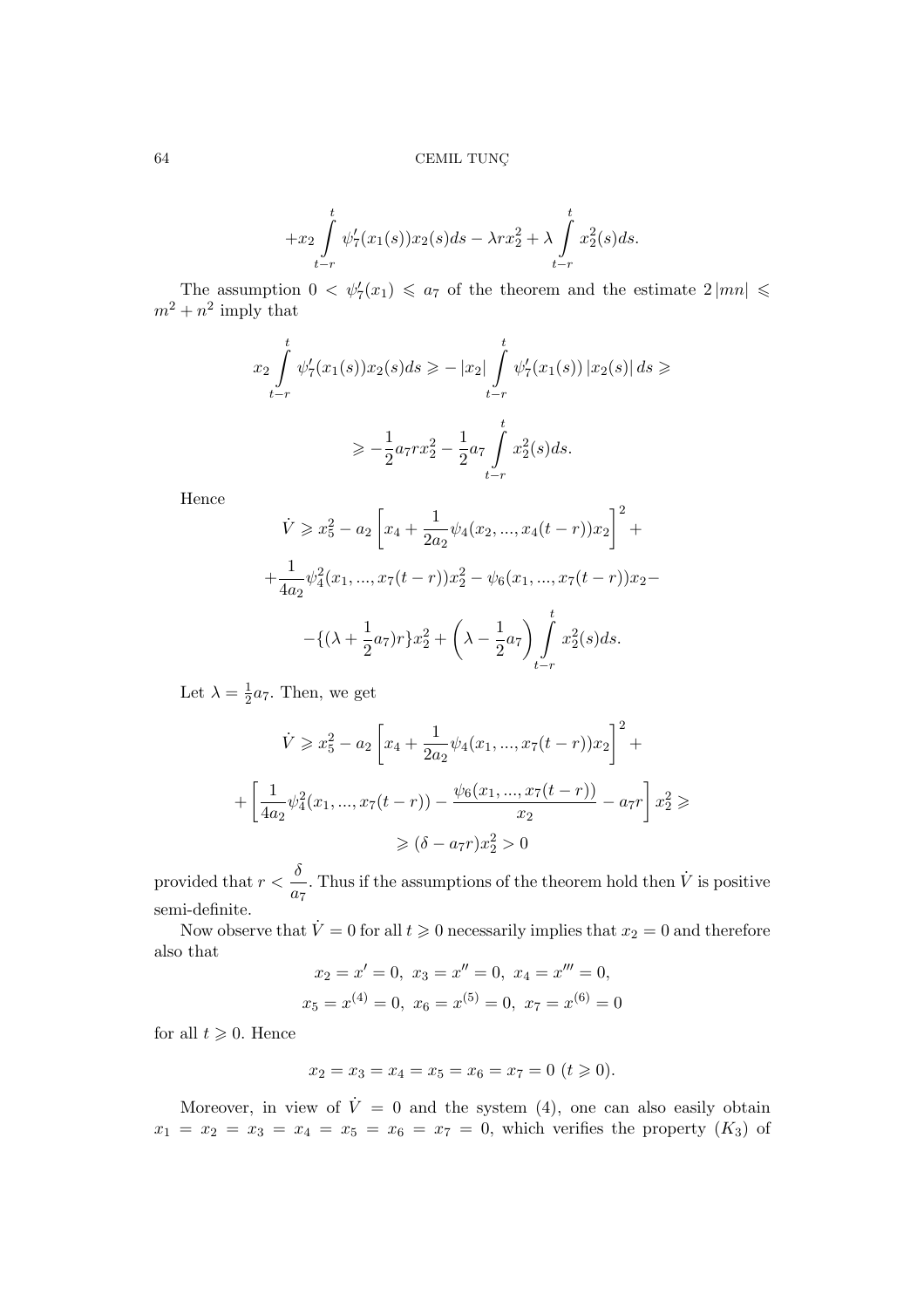$$
+x_2 \int_{t-r}^t \psi_7'(x_1(s))x_2(s)ds - \lambda rx_2^2 + \lambda \int_{t-r}^t x_2^2(s)ds.
$$

The assumption  $0 < \psi_7'(x_1) \leq a_7$  of the theorem and the estimate  $2 |mn| \leq$  $m^2 + n^2$  imply that

$$
x_2 \int_{t-r}^t \psi'_7(x_1(s))x_2(s)ds \ge -|x_2| \int_{t-r}^t \psi'_7(x_1(s)) |x_2(s)| ds \ge
$$
  

$$
\ge -\frac{1}{2}a_7rx_2^2 - \frac{1}{2}a_7 \int_{t-r}^t x_2^2(s)ds.
$$

Hence

$$
\dot{V} \geq x_5^2 - a_2 \left[ x_4 + \frac{1}{2a_2} \psi_4(x_2, ..., x_4(t - r)) x_2 \right]^2 +
$$
  
+ 
$$
\frac{1}{4a_2} \psi_4^2(x_1, ..., x_7(t - r)) x_2^2 - \psi_6(x_1, ..., x_7(t - r)) x_2 -
$$
  
- { $(\lambda + \frac{1}{2}a_7)r} x_2^2 + \left(\lambda - \frac{1}{2}a_7\right) \int_{t-r}^t x_2^2(s) ds.$ 

Let  $\lambda = \frac{1}{2}$  $\frac{1}{2}a_7$ . Then, we get

$$
\dot{V} \geq x_5^2 - a_2 \left[ x_4 + \frac{1}{2a_2} \psi_4(x_1, ..., x_7(t - r)) x_2 \right]^2 +
$$
  
+ 
$$
\left[ \frac{1}{4a_2} \psi_4^2(x_1, ..., x_7(t - r)) - \frac{\psi_6(x_1, ..., x_7(t - r))}{x_2} - a_7 r \right] x_2^2 \geq 0
$$
  

$$
\geq (\delta - a_7 r) x_2^2 > 0
$$

provided that  $r < \frac{\delta}{ }$  $a_7$ . Thus if the assumptions of the theorem hold then  $\dot{V}$  is positive semi-definite.

Now observe that  $\dot{V} = 0$  for all  $t \geq 0$  necessarily implies that  $x_2 = 0$  and therefore also that

$$
x_2 = x' = 0
$$
,  $x_3 = x'' = 0$ ,  $x_4 = x''' = 0$ ,  
 $x_5 = x^{(4)} = 0$ ,  $x_6 = x^{(5)} = 0$ ,  $x_7 = x^{(6)} = 0$ 

for all  $t \geqslant 0$ . Hence

$$
x_2 = x_3 = x_4 = x_5 = x_6 = x_7 = 0 \ (t \geqslant 0).
$$

Moreover, in view of  $\dot{V} = 0$  and the system (4), one can also easily obtain  $x_1 = x_2 = x_3 = x_4 = x_5 = x_6 = x_7 = 0$ , which verifies the property  $(K_3)$  of